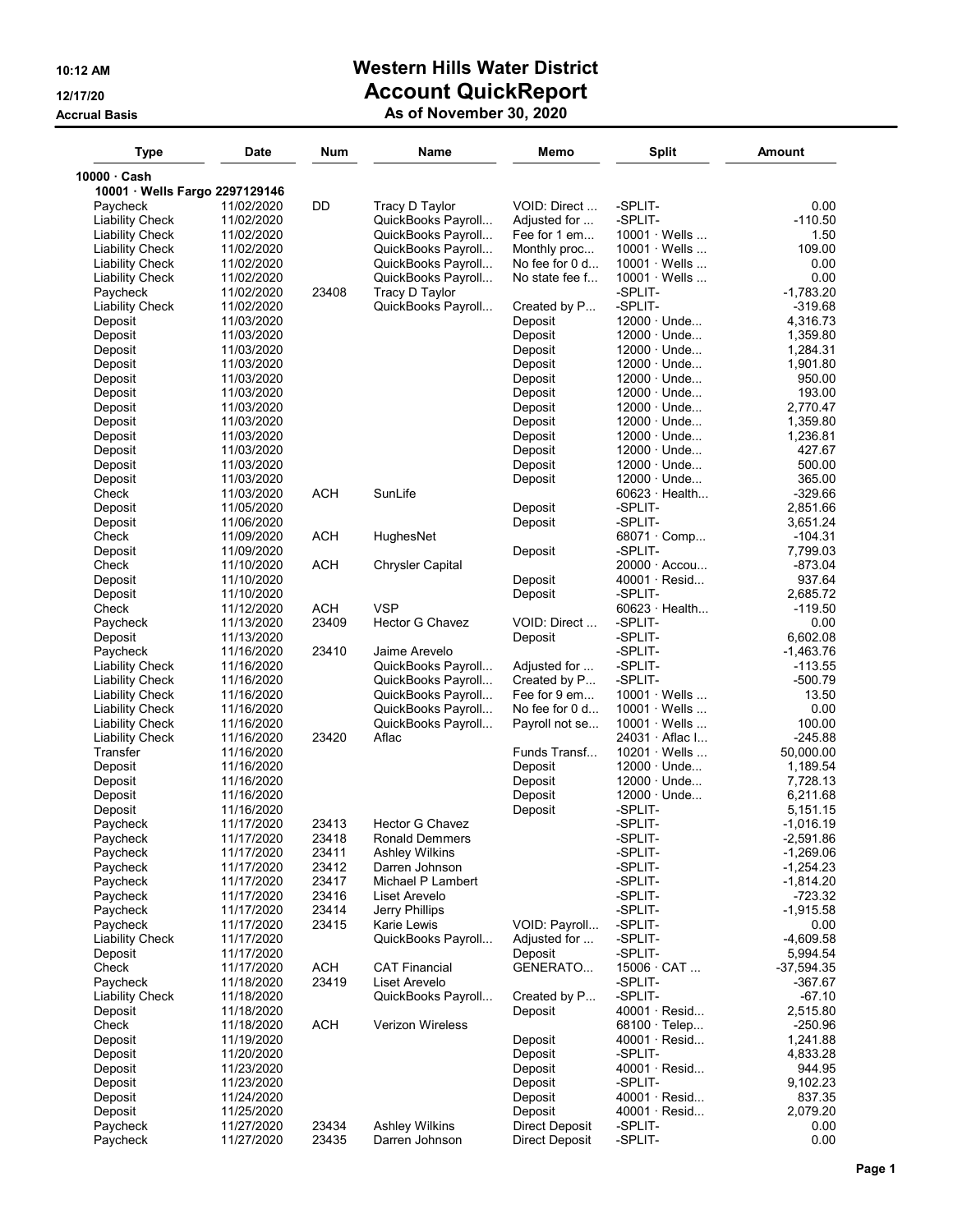# 10:12 AM Western Hills Water District 12/17/20 **Account QuickReport**

### Accrual Basis As of November 30, 2020

| <b>Type</b>                    | <b>Date</b>              | Num        | Name                    | Memo                  | <b>Split</b>                             | <b>Amount</b>         |
|--------------------------------|--------------------------|------------|-------------------------|-----------------------|------------------------------------------|-----------------------|
| 10000 Cash                     |                          |            |                         |                       |                                          |                       |
| 10001 · Wells Fargo 2297129146 |                          |            |                         |                       |                                          |                       |
| Paycheck                       | 11/02/2020               | DD         | Tracy D Taylor          | VOID: Direct          | -SPLIT-                                  | 0.00                  |
| <b>Liability Check</b>         | 11/02/2020               |            | QuickBooks Payroll      | Adjusted for          | -SPLIT-                                  | $-110.50$             |
| <b>Liability Check</b>         | 11/02/2020               |            | QuickBooks Payroll      | Fee for 1 em          | $10001 \cdot$ Wells                      | 1.50                  |
| Liability Check                | 11/02/2020               |            | QuickBooks Payrol       | Monthly proc          | $10001 \cdot$ Wells                      | 109.00                |
| Liability Check                | 11/02/2020               |            | QuickBooks Payroll      | No fee for $0$ d      | $10001 \cdot$ Wells                      | 0.00                  |
| <b>Liability Check</b>         | 11/02/2020               |            | QuickBooks Payroll      | No state fee f        | $10001 \cdot$ Wells                      | 0.00                  |
| Paycheck                       | 11/02/2020               | 23408      | Tracy D Taylor          |                       | -SPLIT-                                  | -1,783.20             |
| <b>Liability Check</b>         | 11/02/2020               |            | QuickBooks Payroll      | Created by P          | -SPLIT-                                  | -319.68               |
| Deposit                        | 11/03/2020               |            |                         | Deposit               | $12000 \cdot$ Unde                       | 4,316.73              |
| Deposit                        | 11/03/2020               |            |                         | Deposit               | $12000 \cdot$ Unde                       | 1,359.80              |
| Deposit                        | 11/03/2020               |            |                         | Deposit               | $12000 \cdot$ Unde                       | 1,284.31              |
| Deposit                        | 11/03/2020               |            |                         | Deposit               | $12000 \cdot$ Unde                       | 1,901.80              |
| Deposit                        | 11/03/2020               |            |                         | Deposit               | $12000 \cdot$ Unde                       | 950.00                |
| Deposit                        | 11/03/2020               |            |                         | Deposit               | $12000 \cdot$ Unde                       | 193.00                |
| Deposit                        | 11/03/2020               |            |                         | Deposit               | $12000 \cdot$ Unde                       | 2,770.47              |
| Deposit                        | 11/03/2020               |            |                         | Deposit               | $12000 \cdot$ Unde                       | 1,359.80              |
| Deposit                        | 11/03/2020               |            |                         | Deposit               | $12000 \cdot$ Unde<br>$12000 \cdot$ Unde | 1,236.81              |
| Deposit                        | 11/03/2020               |            |                         | Deposit               | $12000 \cdot$ Unde                       | 427.67<br>500.00      |
| Deposit                        | 11/03/2020               |            |                         | Deposit               | $12000 \cdot$ Unde                       |                       |
| Deposit                        | 11/03/2020               |            | SunLife                 | Deposit               |                                          | 365.00                |
| Check                          | 11/03/2020               | <b>ACH</b> |                         |                       | $60623 \cdot$ Health<br>-SPLIT-          | -329.66               |
| Deposit                        | 11/05/2020               |            |                         | Deposit               |                                          | 2,851.66              |
| Deposit                        | 11/06/2020               |            |                         | Deposit               | -SPLIT-                                  | 3,651.24              |
| Check                          | 11/09/2020               | ACH        | HughesNet               | Deposit               | $68071 \cdot$ Comp<br>-SPLIT-            | $-104.31$<br>7,799.03 |
| Deposit<br>Check               | 11/09/2020<br>11/10/2020 | <b>ACH</b> | <b>Chrysler Capital</b> |                       | $20000 \cdot$ Accou                      | -873.04               |
|                                | 11/10/2020               |            |                         | Deposit               | $40001 \cdot$ Resid                      | 937.64                |
| Deposit<br>Deposit             | 11/10/2020               |            |                         | Deposit               | -SPLIT-                                  | 2,685.72              |
| Check                          | 11/12/2020               | <b>ACH</b> | <b>VSP</b>              |                       | $60623 \cdot$ Health                     | -119.50               |
| Paycheck                       | 11/13/2020               | 23409      | <b>Hector G Chavez</b>  | VOID: Direct          | -SPLIT-                                  | 0.00                  |
| Deposit                        | 11/13/2020               |            |                         | Deposit               | -SPLIT-                                  | 6,602.08              |
| Paycheck                       | 11/16/2020               | 23410      | Jaime Arevelo           |                       | -SPLIT-                                  | $-1,463.76$           |
| <b>Liability Check</b>         | 11/16/2020               |            | QuickBooks Payrol       | Adjusted for          | -SPLIT-                                  | $-113.55$             |
| <b>Liability Check</b>         | 11/16/2020               |            | QuickBooks Payrol       | Created by P          | -SPLIT-                                  | -500.79               |
| Liability Check                | 11/16/2020               |            | QuickBooks Payrol       | Fee for 9 em          | $10001 \cdot$ Wells                      | 13.50                 |
| <b>Liability Check</b>         | 11/16/2020               |            | QuickBooks Payrol       | No fee for $0$ d      | $10001 \cdot$ Wells                      | 0.00                  |
| <b>Liability Check</b>         | 11/16/2020               |            | QuickBooks Payroll      | Payroll not se        | $10001 \cdot$ Wells                      | 100.00                |
| <b>Liability Check</b>         | 11/16/2020               | 23420      | Aflac                   |                       | 24031 · Aflac I                          | -245.88               |
| Transfer                       | 11/16/2020               |            |                         | Funds Transf          | $10201 \cdot$ Wells                      | 50,000.00             |
| Deposit                        | 11/16/2020               |            |                         | Deposit               | $12000 \cdot$ Unde                       | 1,189.54              |
| Deposit                        | 11/16/2020               |            |                         | Deposit               | $12000 \cdot$ Unde                       | 7,728.13              |
| Deposit                        | 11/16/2020               |            |                         | Deposit               | 12000 · Unde                             | 6,211.68              |
| Deposit                        | 11/16/2020               |            |                         | Deposit               | -SPLIT-                                  | 5,151.15              |
| Paycheck                       | 11/17/2020               | 23413      | <b>Hector G Chavez</b>  |                       | -SPLIT-                                  | -1,016.19             |
| Paycheck                       | 11/1//2020               | 23418      | Ronald Demmers          |                       | -SPLII-                                  | -2,591.86             |
| Paycheck                       | 11/17/2020               | 23411      | <b>Ashley Wilkins</b>   |                       | -SPLIT-                                  | $-1,269.06$           |
| Paycheck                       | 11/17/2020               | 23412      | Darren Johnson          |                       | -SPLIT-                                  | $-1,254.23$           |
| Paycheck                       | 11/17/2020               | 23417      | Michael P Lambert       |                       | -SPLIT-                                  | $-1,814.20$           |
| Paycheck                       | 11/17/2020               | 23416      | Liset Arevelo           |                       | -SPLIT-                                  | $-723.32$             |
| Paycheck                       | 11/17/2020               | 23414      | Jerry Phillips          |                       | -SPLIT-                                  | $-1,915.58$           |
| Paycheck                       | 11/17/2020               | 23415      | Karie Lewis             | VOID: Payroll         | -SPLIT-                                  | 0.00                  |
| <b>Liability Check</b>         | 11/17/2020               |            | QuickBooks Payroll      | Adjusted for          | -SPLIT-                                  | $-4,609.58$           |
| Deposit                        | 11/17/2020               |            |                         | Deposit               | -SPLIT-                                  | 5,994.54              |
| Check                          | 11/17/2020               | ACH        | <b>CAT Financial</b>    | GENERATO              | $15006 \cdot CAT$                        | $-37,594.35$          |
| Paycheck                       | 11/18/2020               | 23419      | Liset Arevelo           |                       | -SPLIT-                                  | -367.67               |
| <b>Liability Check</b>         | 11/18/2020               |            | QuickBooks Payroll      | Created by P          | -SPLIT-                                  | $-67.10$              |
| Deposit                        | 11/18/2020               |            |                         | Deposit               | $40001 \cdot$ Resid                      | 2,515.80              |
| Check                          | 11/18/2020               | <b>ACH</b> | <b>Verizon Wireless</b> |                       | $68100 \cdot$ Telep                      | $-250.96$             |
| Deposit                        | 11/19/2020               |            |                         | Deposit               | $40001 \cdot$ Resid                      | 1,241.88              |
| Deposit                        | 11/20/2020               |            |                         | Deposit               | -SPLIT-                                  | 4,833.28              |
| Deposit                        | 11/23/2020               |            |                         | Deposit               | $40001 \cdot$ Resid                      | 944.95                |
| Deposit                        | 11/23/2020               |            |                         | Deposit               | -SPLIT-                                  | 9,102.23              |
| Deposit                        | 11/24/2020               |            |                         | Deposit               | $40001 \cdot$ Resid                      | 837.35                |
| Deposit                        | 11/25/2020               |            |                         | Deposit               | $40001 \cdot$ Resid                      | 2,079.20              |
| Paycheck                       | 11/27/2020               | 23434      | <b>Ashley Wilkins</b>   | <b>Direct Deposit</b> | -SPLIT-                                  | 0.00                  |
| Paycheck                       | 11/27/2020               | 23435      | Darren Johnson          | Direct Deposit        | -SPLIT-                                  | 0.00                  |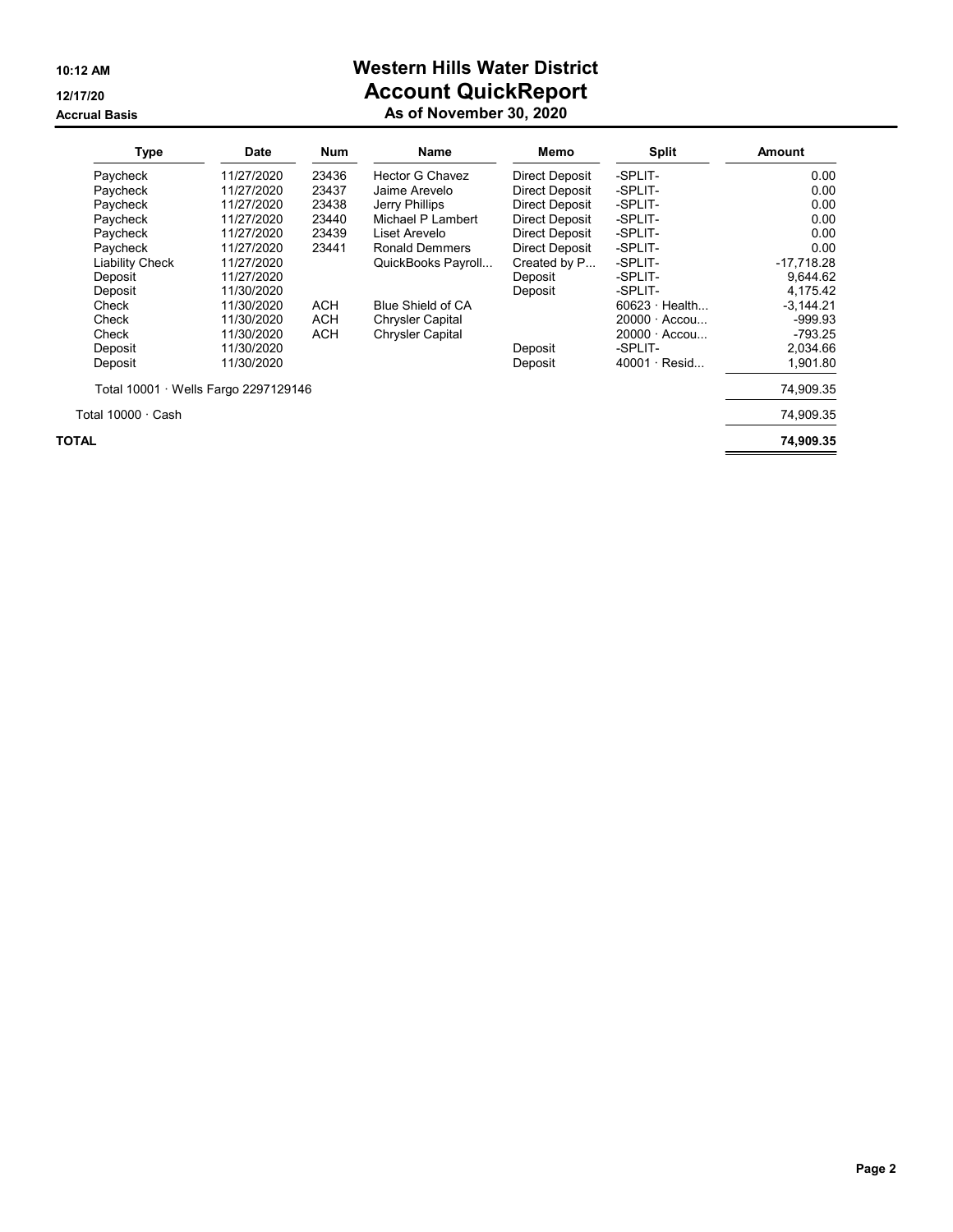#### Accrual Basis As of November 30, 2020 and November 30, 2020 and November 30, 2020

# 10:12 AM Western Hills Water District 12/17/20 **Account QuickReport**

|  | As of November 30, 2020 |  |  |  |
|--|-------------------------|--|--|--|
|--|-------------------------|--|--|--|

| <b>Type</b>                          | <b>Date</b> | <b>Num</b> | Name                     | Memo                  | Split                | Amount       |
|--------------------------------------|-------------|------------|--------------------------|-----------------------|----------------------|--------------|
| Paycheck                             | 11/27/2020  | 23436      | Hector G Chavez          | Direct Deposit        | -SPLIT-              | 0.00         |
| Paycheck                             | 11/27/2020  | 23437      | Jaime Arevelo            | Direct Deposit        | -SPLIT-              | 0.00         |
| Paycheck                             | 11/27/2020  | 23438      | Jerry Phillips           | Direct Deposit        | -SPLIT-              | 0.00         |
| Paycheck                             | 11/27/2020  | 23440      | Michael P Lambert        | <b>Direct Deposit</b> | -SPLIT-              | 0.00         |
| Paycheck                             | 11/27/2020  | 23439      | Liset Arevelo            | Direct Deposit        | -SPLIT-              | 0.00         |
| Paycheck                             | 11/27/2020  | 23441      | <b>Ronald Demmers</b>    | <b>Direct Deposit</b> | -SPLIT-              | 0.00         |
| <b>Liability Check</b>               | 11/27/2020  |            | QuickBooks Payroll       | Created by P          | -SPLIT-              | $-17.718.28$ |
| Deposit                              | 11/27/2020  |            |                          | Deposit               | -SPLIT-              | 9,644.62     |
| Deposit                              | 11/30/2020  |            |                          | Deposit               | -SPLIT-              | 4,175.42     |
| Check                                | 11/30/2020  | <b>ACH</b> | <b>Blue Shield of CA</b> |                       | $60623 \cdot$ Health | $-3,144.21$  |
| Check                                | 11/30/2020  | ACH        | <b>Chrysler Capital</b>  |                       | $20000 \cdot$ Accou  | $-999.93$    |
| Check                                | 11/30/2020  | ACH        | <b>Chrysler Capital</b>  |                       | $20000 \cdot$ Accou  | $-793.25$    |
| Deposit                              | 11/30/2020  |            |                          | Deposit               | -SPLIT-              | 2,034.66     |
| Deposit                              | 11/30/2020  |            |                          | Deposit               | $40001 \cdot$ Resid  | 1,901.80     |
| Total 10001 · Wells Fargo 2297129146 |             |            |                          |                       |                      | 74,909.35    |
| Total 10000 · Cash                   |             |            |                          |                       |                      | 74,909.35    |
| TOTAL                                |             |            |                          |                       |                      | 74,909.35    |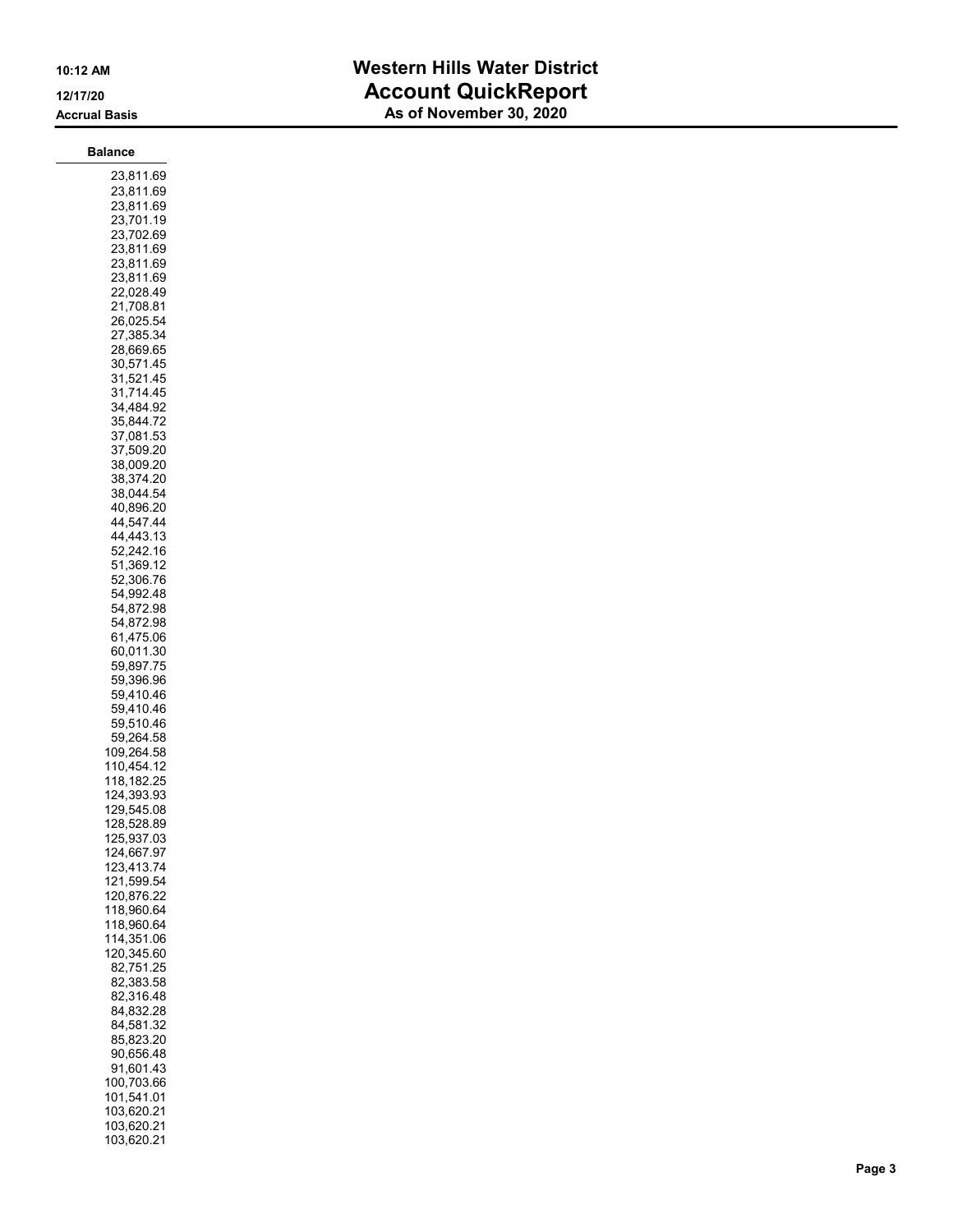### 10:12 AM Western Hills Water District 12/17/20 **Account QuickReport** As of November 30, 2020

103,620.21